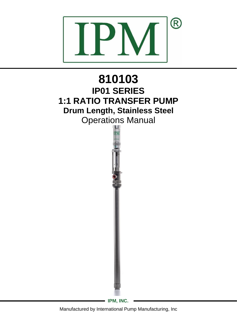

# **810103 IP01 SERIES 1:1 RATIO TRANSFER PUMP Drum Length, Stainless Steel** Operations Manual

**IPM, INC.**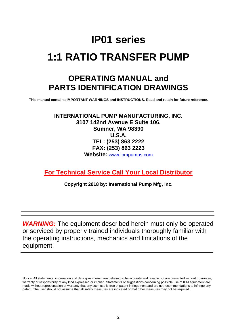## **IP01 series 1:1 RATIO TRANSFER PUMP**

## **OPERATING MANUAL and PARTS IDENTIFICATION DRAWINGS**

**This manual contains IMPORTANT WARNINGS and INSTRUCTIONS. Read and retain for future reference.**

**INTERNATIONAL PUMP MANUFACTURING, INC. 3107 142nd Avenue E Suite 106, Sumner, WA 98390 U.S.A. TEL: (253) 863 2222 FAX: (253) 863 2223 Website:** [www.ipmpumps.com](http://www.ipmpumps.com/)

**For Technical Service Call Your Local Distributor**

**Copyright 2018 by: International Pump Mfg, Inc.**

*WARNING:* The equipment described herein must only be operated or serviced by properly trained individuals thoroughly familiar with the operating instructions, mechanics and limitations of the equipment.

Notice: All statements, information and data given herein are believed to be accurate and reliable but are presented without guarantee, warranty or responsibility of any kind expressed or implied. Statements or suggestions concerning possible use of IPM equipment are made without representation or warranty that any such use is free of patent infringement and are not recommendations to infringe any patent. The user should not assume that all safety measures are indicated or that other measures may not be required.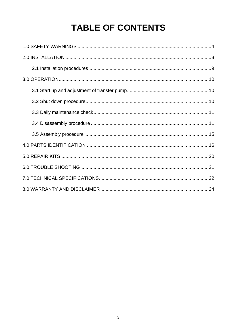## **TABLE OF CONTENTS**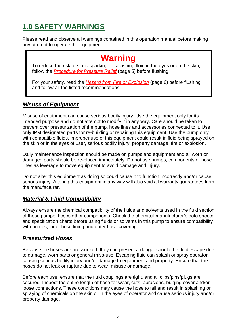## <span id="page-3-0"></span>**1.0 SAFETY WARNINGS**

Please read and observe all warnings contained in this operation manual before making any attempt to operate the equipment.

## **Warning**

To reduce the risk of static sparking or splashing fluid in the eyes or on the skin, follow the *[Procedure for Pressure Relief](#page-4-0)* (page 5) before flushing.

For your safety, read the *[Hazard from Fire or Explosion](#page-5-0)* (page 6) before flushing and follow all the listed recommendations.

#### *Misuse of Equipment*

Misuse of equipment can cause serious bodily injury. Use the equipment only for its intended purpose and do not attempt to modify it in any way. Care should be taken to prevent over pressurization of the pump, hose lines and accessories connected to it. Use only IPM designated parts for re-building or repairing this equipment. Use the pump only with compatible fluids. Improper use of this equipment could result in fluid being sprayed on the skin or in the eyes of user, serious bodily injury, property damage, fire or explosion.

Daily maintenance inspection should be made on pumps and equipment and all worn or damaged parts should be re-placed immediately. Do not use pumps, components or hose lines as leverage to move equipment to avoid damage and injury.

Do not alter this equipment as doing so could cause it to function incorrectly and/or cause serious injury. Altering this equipment in any way will also void all warranty guarantees from the manufacturer.

#### *Material & Fluid Compatibility*

Always ensure the chemical compatibility of the fluids and solvents used in the fluid section of these pumps, hoses other components. Check the chemical manufacturer's data sheets and specification charts before using fluids or solvents in this pump to ensure compatibility with pumps, inner hose lining and outer hose covering.

#### *Pressurized Hoses*

Because the hoses are pressurized, they can present a danger should the fluid escape due to damage, worn parts or general miss-use. Escaping fluid can splash or spray operator, causing serious bodily injury and/or damage to equipment and property. Ensure that the hoses do not leak or rupture due to wear, misuse or damage.

Before each use, ensure that the fluid couplings are tight, and all clips/pins/plugs are secured. Inspect the entire length of hose for wear, cuts, abrasions, bulging cover and/or loose connections. These conditions may cause the hose to fail and result in splashing or spraying of chemicals on the skin or in the eyes of operator and cause serious injury and/or property damage.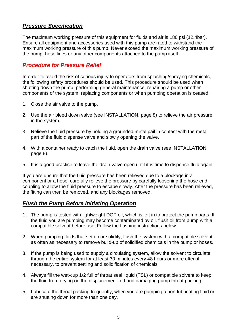#### *Pressure Specification*

The maximum working pressure of this equipment for fluids and air is 180 psi (12.4bar). Ensure all equipment and accessories used with this pump are rated to withstand the maximum working pressure of this pump. Never exceed the maximum working pressure of the pump, hose lines or any other components attached to the pump itself.

#### <span id="page-4-0"></span>*Procedure for Pressure Relief*

In order to avoid the risk of serious injury to operators from splashing/spraying chemicals, the following safety procedures should be used. This procedure should be used when shutting down the pump, performing general maintenance, repairing a pump or other components of the system, replacing components or when pumping operation is ceased.

- 1. Close the air valve to the pump.
- 2. Use the air bleed down valve (see INSTALLATION, page 8) to relieve the air pressure in the system.
- 3. Relieve the fluid pressure by holding a grounded metal pail in contact with the metal part of the fluid dispense valve and slowly opening the valve.
- 4. With a container ready to catch the fluid, open the drain valve (see INSTALLATION, page 8).
- 5. It is a good practice to leave the drain valve open until it is time to dispense fluid again.

If you are unsure that the fluid pressure has been relieved due to a blockage in a component or a hose, carefully relieve the pressure by carefully loosening the hose end coupling to allow the fluid pressure to escape slowly. After the pressure has been relieved, the fitting can then be removed, and any blockages removed.

#### *Flush the Pump Before Initiating Operation*

- 1. The pump is tested with lightweight DOP oil, which is left in to protect the pump parts. If the fluid you are pumping may become contaminated by oil, flush oil from pump with a compatible solvent before use. Follow the flushing instructions below.
- 2. When pumping fluids that set up or solidify, flush the system with a compatible solvent as often as necessary to remove build-up of solidified chemicals in the pump or hoses.
- 3. If the pump is being used to supply a circulating system, allow the solvent to circulate through the entire system for at least 30 minutes every 48 hours or more often if necessary, to prevent settling and solidification of chemicals.
- 4. Always fill the wet-cup 1/2 full of throat seal liquid (TSL) or compatible solvent to keep the fluid from drying on the displacement rod and damaging pump throat packing.
- 5. Lubricate the throat packing frequently, when you are pumping a non-lubricating fluid or are shutting down for more than one day.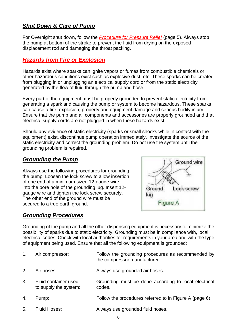#### *Shut Down & Care of Pump*

For Overnight shut down, follow the *[Procedure for Pressure Relief](#page-4-0)* (page 5). Always stop the pump at bottom of the stroke to prevent the fluid from drying on the exposed displacement rod and damaging the throat packing.

#### <span id="page-5-0"></span>*Hazards from Fire or Explosion*

Hazards exist where sparks can ignite vapors or fumes from combustible chemicals or other hazardous conditions exist such as explosive dust, etc. These sparks can be created from plugging in or unplugging an electrical supply cord or from the static electricity generated by the flow of fluid through the pump and hose.

Every part of the equipment must be properly grounded to prevent static electricity from generating a spark and causing the pump or system to become hazardous. These sparks can cause a fire, explosion, property and equipment damage and serious bodily injury. Ensure that the pump and all components and accessories are properly grounded and that electrical supply cords are not plugged in when these hazards exist.

Should any evidence of static electricity (sparks or small shocks while in contact with the equipment) exist, discontinue pump operation immediately. Investigate the source of the static electricity and correct the grounding problem. Do not use the system until the grounding problem is repaired.

#### *Grounding the Pump*

Always use the following procedures for grounding the pump. Loosen the lock screw to allow insertion of one end of a minimum sized 12-gauge wire into the bore hole of the grounding lug. Insert 12 gauge wire and tighten the lock screw securely. The other end of the ground wire must be secured to a true earth ground.

#### *Grounding Procedures*



Grounding of the pump and all the other dispensing equipment is necessary to minimize the possibility of sparks due to static electricity. Grounding must be in compliance with, local electrical codes. Check with local authorities for requirements in your area and with the type of equipment being used. Ensure that all the following equipment is grounded:

| Air compressor: | Follow the grounding procedures as recommended by |  |
|-----------------|---------------------------------------------------|--|
|                 | the compressor manufacturer.                      |  |

- 2. Air hoses: Always use grounded air hoses.
- 3. Fluid container used to supply the system: Grounding must be done according to local electrical codes.
- 4. Pump: Follow the procedures referred to in Figure A (page 6).
- 5. Fluid Hoses: Always use grounded fluid hoses.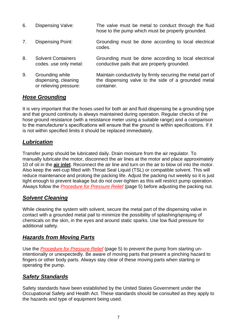- 6. Dispensing Valve: The valve must be metal to conduct through the fluid hose to the pump which must be properly grounded.
- 7. Dispensing Point: Grounding must be done according to local electrical codes.
- 8. Solvent Containers codes. use only metal: Grounding must be done according to local electrical conductive pails that are properly grounded.
- 9. Grounding while dispensing, cleaning or relieving pressure: Maintain conductivity by firmly securing the metal part of the dispensing valve to the side of a grounded metal container.

#### *Hose Grounding*

It is very important that the hoses used for both air and fluid dispensing be a grounding type and that ground continuity is always maintained during operation. Regular checks of the hose ground resistance (with a resistance meter using a suitable range) and a comparison to the manufacturer's specifications will ensure that the ground is within specifications. If it is not within specified limits it should be replaced immediately.

#### *Lubrication*

Transfer pump should be lubricated daily. Drain moisture from the air regulator. To manually lubricate the motor, disconnect the air lines at the motor and place approximately 10 of oil in the **air inlet**. Reconnect the air line and turn on the air to blow oil into the motor. Also keep the wet-cup filled with Throat Seal Liquid (TSL) or compatible solvent. This will reduce maintenance and prolong the packing life. Adjust the packing nut weekly so it is just tight enough to prevent leakage but do not over-tighten as this will restrict pump operation. Always follow the *[Procedure for Pressure Relief](#page-4-0)* (page 5) before adjusting the packing nut.

#### *Solvent Cleaning*

While cleaning the system with solvent, secure the metal part of the dispensing valve in contact with a grounded metal pail to minimize the possibility of splashing/spraying of chemicals on the skin, in the eyes and around static sparks. Use low fluid pressure for additional safety.

#### *Hazards from Moving Parts*

Use the *[Procedure for Pressure Relief](#page-4-0)* (page 5) to prevent the pump from starting unintentionally or unexpectedly. Be aware of moving parts that present a pinching hazard to fingers or other body parts. Always stay clear of these moving parts when starting or operating the pump.

#### *Safety Standards*

Safety standards have been established by the United States Government under the Occupational Safety and Health Act. These standards should be consulted as they apply to the hazards and type of equipment being used.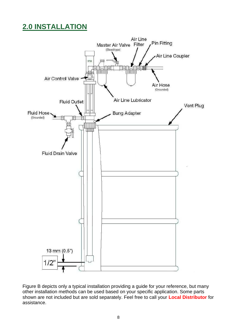## <span id="page-7-0"></span>**2.0 INSTALLATION**



Figure B depicts only a typical installation providing a guide for your reference, but many other installation methods can be used based on your specific application. Some parts shown are not included but are sold separately. Feel free to call your **Local Distributor** for assistance.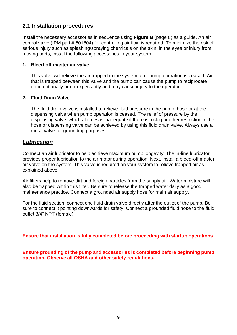#### <span id="page-8-0"></span>**2.1 Installation procedures**

Install the necessary accessories in sequence using **Figure B** (page 8) as a guide. An air control valve (IPM part # 501804) for controlling air flow is required. To minimize the risk of serious injury such as splashing/spraying chemicals on the skin, in the eyes or injury from moving parts, install the following accessories in your system.

#### **1. Bleed-off master air valve**

This valve will relieve the air trapped in the system after pump operation is ceased. Air that is trapped between this valve and the pump can cause the pump to reciprocate un-intentionally or un-expectantly and may cause injury to the operator.

#### **2. Fluid Drain Valve**

The fluid drain valve is installed to relieve fluid pressure in the pump, hose or at the dispensing valve when pump operation is ceased. The relief of pressure by the dispensing valve, which at times is inadequate if there is a clog or other restriction in the hose or dispensing valve can be achieved by using this fluid drain valve. Always use a metal valve for grounding purposes.

#### *Lubrication*

Connect an air lubricator to help achieve maximum pump longevity. The in-line lubricator provides proper lubrication to the air motor during operation. Next, install a bleed-off master air valve on the system. This valve is required on your system to relieve trapped air as explained above.

Air filters help to remove dirt and foreign particles from the supply air. Water moisture will also be trapped within this filter. Be sure to release the trapped water daily as a good maintenance practice. Connect a grounded air supply hose for main air supply.

For the fluid section, connect one fluid drain valve directly after the outlet of the pump. Be sure to connect it pointing downwards for safety. Connect a grounded fluid hose to the fluid outlet 3/4" NPT (female).

**Ensure that installation is fully completed before proceeding with startup operations.**

**Ensure grounding of the pump and accessories is completed before beginning pump operation. Observe all OSHA and other safety regulations.**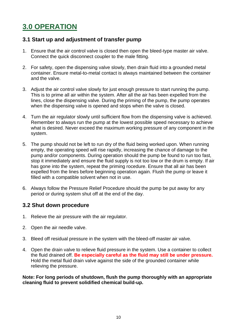## <span id="page-9-0"></span>**3.0 OPERATION**

#### <span id="page-9-1"></span>**3.1 Start up and adjustment of transfer pump**

- 1. Ensure that the air control valve is closed then open the bleed-type master air valve. Connect the quick disconnect coupler to the male fitting.
- 2. For safety, open the dispensing valve slowly, then drain fluid into a grounded metal container. Ensure metal-to-metal contact is always maintained between the container and the valve.
- 3. Adjust the air control valve slowly for just enough pressure to start running the pump. This is to prime all air within the system. After all the air has been expelled from the lines, close the dispensing valve. During the priming of the pump, the pump operates when the dispensing valve is opened and stops when the valve is closed.
- 4. Turn the air regulator slowly until sufficient flow from the dispensing valve is achieved. Remember to always run the pump at the lowest possible speed necessary to achieve what is desired. Never exceed the maximum working pressure of any component in the system.
- 5. The pump should not be left to run dry of the fluid being worked upon. When running empty, the operating speed will rise rapidly, increasing the chance of damage to the pump and/or components. During operation should the pump be found to run too fast, stop it immediately and ensure the fluid supply is not too low or the drum is empty. If air has gone into the system, repeat the priming rocedure. Ensure that all air has been expelled from the lines before beginning operation again. Flush the pump or leave it filled with a compatible solvent when not in use.
- 6. Always follow the Pressure Relief Procedure should the pump be put away for any period or during system shut off at the end of the day.

#### <span id="page-9-2"></span>**3.2 Shut down procedure**

- 1. Relieve the air pressure with the air regulator.
- 2. Open the air needle valve.
- 3. Bleed off residual pressure in the system with the bleed-off master air valve.
- 4. Open the drain valve to relieve fluid pressure in the system. Use a container to collect the fluid drained off. **Be especially careful as the fluid may still be under pressure.** Hold the metal fluid drain valve against the side of the grounded container while relieving the pressure.

**Note: For long periods of shutdown, flush the pump thoroughly with an appropriate cleaning fluid to prevent solidified chemical build-up.**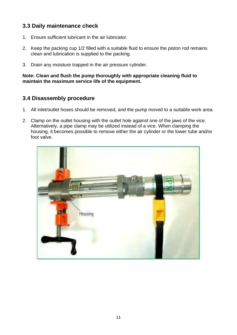#### <span id="page-10-0"></span>**3.3 Daily maintenance check**

- 1. Ensure sufficient lubricant in the air lubricator.
- 2. Keep the packing cup 1/2 filled with a suitable fluid to ensure the piston rod remains clean and lubrication is supplied to the packing.
- 3. Drain any moisture trapped in the air pressure cylinder.

**Note: Clean and flush the pump thoroughly with appropriate cleaning fluid to maintain the maximum service life of the equipment.**

#### <span id="page-10-1"></span>**3.4 Disassembly procedure**

- 1. All inlet/outlet hoses should be removed, and the pump moved to a suitable work area.
- 2. Clamp on the outlet housing with the outlet hole against one of the jaws of the vice. Alternatively, a pipe clamp may be utilized instead of a vice. When clamping the housing, it becomes possible to remove either the air cylinder or the lower tube and/or foot valve.

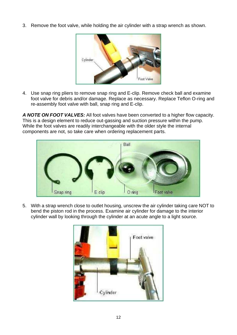3. Remove the foot valve, while holding the air cylinder with a strap wrench as shown.



4. Use snap ring pliers to remove snap ring and E-clip. Remove check ball and examine foot valve for debris and/or damage. Replace as necessary. Replace Teflon O-ring and re-assembly foot valve with ball, snap ring and E-clip.

*A NOTE ON FOOT VALVES:* All foot valves have been converted to a higher flow capacity. This is a design element to reduce out-gassing and suction pressure within the pump. While the foot valves are readily interchangeable with the older style the internal components are not, so take care when ordering replacement parts.



5. With a strap wrench close to outlet housing, unscrew the air cylinder taking care NOT to bend the piston rod in the process. Examine air cylinder for damage to the interior cylinder wall by looking through the cylinder at an acute angle to a light source.

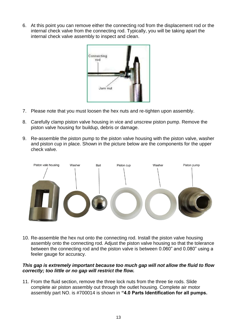6. At this point you can remove either the connecting rod from the displacement rod or the internal check valve from the connecting rod. Typically, you will be taking apart the internal check valve assembly to inspect and clean.



- 7. Please note that you must loosen the hex nuts and re-tighten upon assembly.
- 8. Carefully clamp piston valve housing in vice and unscrew piston pump. Remove the piston valve housing for buildup, debris or damage.
- 9. Re-assemble the piston pump to the piston valve housing with the piston valve, washer and piston cup in place. Shown in the picture below are the components for the upper check valve.



10. Re-assemble the hex nut onto the connecting rod. Install the piston valve housing assembly onto the connecting rod. Adjust the piston valve housing so that the tolerance between the connecting rod and the piston valve is between 0.060" and 0.080" using a feeler gauge for accuracy.

#### *This gap is extremely important because too much gap will not allow the fluid to flow correctly; too little or no gap will restrict the flow.*

11. From the fluid section, remove the three lock nuts from the three tie rods. Slide complete air piston assembly out through the outlet housing. Complete air motor assembly part NO. is #700014 is shown in **"4.0 Parts Identification for all pumps.**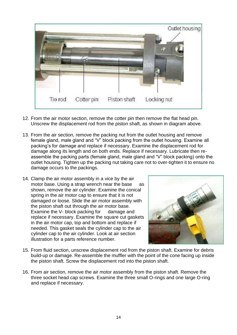

- 12. From the air motor section, remove the cotter pin then remove the flat head pin. Unscrew the displacement rod from the piston shaft, as shown in diagram above.
- 13. From the air section, remove the packing nut from the outlet housing and remove female gland, male gland and "V" block packing from the outlet housing. Examine all packing's for damage and replace if necessary. Examine the displacement rod for damage along its length and on both ends. Replace if necessary. Lubricate then reassemble the packing parts (female gland, male gland and "V" block packing) onto the outlet housing. Tighten up the packing nut taking care not to over-tighten it to ensure no damage occurs to the packings.
- 14. Clamp the air motor assembly in a vice by the air motor base. Using a strap wrench near the base as shown, remove the air cylinder. Examine the conical spring in the air motor cap to ensure that it is not damaged or loose. Slide the air motor assembly with the piston shaft out through the air motor base. Examine the V- block packing for damage and replace if necessary. Examine the square cut gaskets in the air motor cap, top and bottom and replace if needed. This gasket seals the cylinder cap to the air cylinder cap to the air cylinder. Look at air section illustration for a parts reference number.



- 15. From fluid section, unscrew displacement rod from the piston shaft. Examine for debris build-up or damage. Re-assemble the muffler with the point of the cone facing up inside the piston shaft. Screw the displacement rod into the piston shaft.
- 16. From air section, remove the air motor assembly from the piston shaft. Remove the three socket head cap screws. Examine the three small O-rings and one large O-ring and replace if necessary.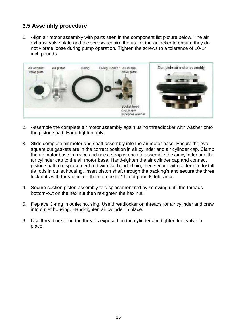#### <span id="page-14-0"></span>**3.5 Assembly procedure**

1. Align air motor assembly with parts seen in the component list picture below. The air exhaust valve plate and the screws require the use of threadlocker to ensure they do not vibrate loose during pump operation. Tighten the screws to a tolerance of 10-14 inch pounds.



- 2. Assemble the complete air motor assembly again using threadlocker with washer onto the piston shaft. Hand-tighten only.
- 3. Slide complete air motor and shaft assembly into the air motor base. Ensure the two square cut gaskets are in the correct position in air cylinder and air cylinder cap. Clamp the air motor base in a vice and use a strap wrench to assemble the air cylinder and the air cylinder cap to the air motor base. Hand-tighten the air cylinder cap and connect piston shaft to displacement rod with flat headed pin, then secure with cotter pin. Install tie rods in outlet housing. Insert piston shaft through the packing's and secure the three lock nuts with threadlocker, then torque to 11-foot pounds tolerance.
- 4. Secure suction piston assembly to displacement rod by screwing until the threads bottom-out on the hex nut then re-tighten the hex nut.
- 5. Replace O-ring in outlet housing. Use threadlocker on threads for air cylinder and crew into outlet housing. Hand-tighten air cylinder in place.
- 6. Use threadlocker on the threads exposed on the cylinder and tighten foot valve in place.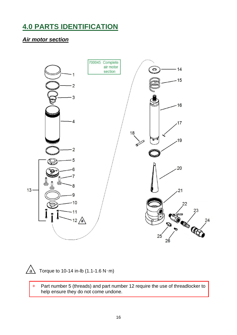## <span id="page-15-0"></span>**4.0 PARTS IDENTIFICATION**

#### *Air motor section*





 $\sqrt{a}$  Torque to 10-14 in-lb (1.1-1.6 N·m)

\* Part number 5 (threads) and part number 12 require the use of threadlocker to help ensure they do not come undone.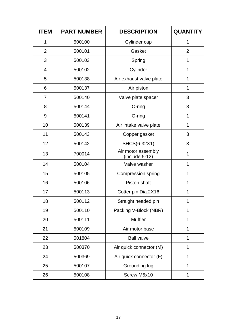| <b>ITEM</b>    | <b>PART NUMBER</b> | <b>DESCRIPTION</b>                     | <b>QUANTIT</b> |
|----------------|--------------------|----------------------------------------|----------------|
| 1              | 500100             | Cylinder cap                           | 1              |
| $\overline{2}$ | 500101             | Gasket                                 | $\overline{2}$ |
| 3              | 500103             | Spring                                 | 1              |
| 4              | 500102             | Cylinder                               | 1              |
| 5              | 500138             | Air exhaust valve plate                | 1              |
| 6              | 500137             | Air piston                             | 1              |
| $\overline{7}$ | 500140             | Valve plate spacer                     | 3              |
| 8              | 500144             | $O$ -ring                              | 3              |
| 9              | 500141             | $O$ -ring                              | 1              |
| 10             | 500139             | Air intake valve plate                 | 1              |
| 11             | 500143             | Copper gasket                          | 3              |
| 12             | 500142             | SHCS(6-32X1)                           | 3              |
| 13             | 700014             | Air motor assembly<br>$(include 5-12)$ | 1              |
| 14             | 500104             | Valve washer                           | 1              |
| 15             | 500105             | <b>Compression spring</b>              | 1              |
| 16             | 500106             | Piston shaft                           | 1              |
| 17             | 500113             | Cotter pin Dia.2X16                    | 1              |
| 18             | 500112             | Straight headed pin                    | 1              |
| 19             | 500110             | Packing V-Block (NBR)                  | 1              |
| 20             | 500111             | <b>Muffler</b>                         | 1              |
| 21             | 500109             | Air motor base                         | 1              |
| 22             | 501804             | <b>Ball valve</b>                      | 1              |
| 23             | 500370             | Air quick connector (M)                | 1              |
| 24             | 500369             | Air quick connector (F)                | 1              |
| 25             | 500107             | Grounding lug                          | 1              |
| 26             | 500108             | Screw M5x10                            | 1              |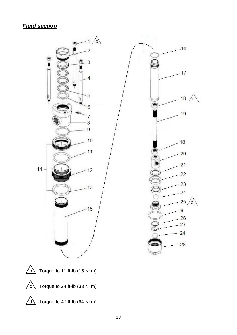### *Fluid section*





 $\sqrt{b}$  Torque to 11 ft-lb (15 N·m)



 $\sqrt{c}$  Torque to 24 ft-lb (33 N·m)



 $\sqrt{d}$  Torque to 47 ft-lb (64 N·m)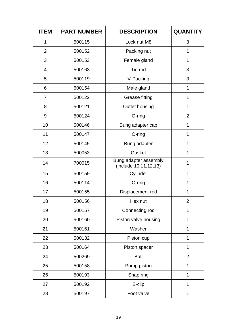| <b>ITEM</b>    | <b>PART NUMBER</b> | <b>DESCRIPTION</b>                             | <b>QUANTITY</b> |
|----------------|--------------------|------------------------------------------------|-----------------|
| 1              | 500115             | Lock nut M8                                    | 3               |
| $\overline{2}$ | 500152             | Packing nut                                    | 1               |
| 3              | 500153             | Female gland                                   | $\mathbf{1}$    |
| $\overline{4}$ | 500163             | Tie rod                                        | 3               |
| 5              | 500119             | V-Packing                                      | 3               |
| 6              | 500154             | Male gland                                     | 1               |
| $\overline{7}$ | 500122             | <b>Grease fitting</b>                          | 1               |
| 8              | 500121             | Outlet housing                                 | 1               |
| 9              | 500124             | O-ring                                         | $\overline{2}$  |
| 10             | 500146             | Bung adapter cap                               | 1               |
| 11             | 500147             | O-ring                                         | 1               |
| 12             | 500145             | Bung adapter                                   | 1               |
| 13             | 500053             | Gasket                                         | 1               |
| 14             | 700015             | Bung adapter assembly<br>(include 10,11,12,13) | 1               |
| 15             | 500159             | Cylinder                                       | 1               |
| 16             | 500114             | $O$ -ring                                      | 1               |
| 17             | 500155             | Displacement rod                               | 1               |
| 18             | 500156             | Hex nut                                        | $\overline{2}$  |
| 19             | 500157             | Connecting rod                                 | 1               |
| 20             | 500160             | Piston valve housing                           | 1               |
| 21             | 500161             | Washer                                         | 1               |
| 22             | 500132             | Piston cup                                     | 1               |
| 23             | 500164             | Piston spacer                                  | 1               |
| 24             | 500269             | <b>Ball</b>                                    | $\overline{2}$  |
| 25             | 500158             | Pump piston                                    | 1               |
| 26             | 500193             | Snap ring                                      | 1               |
| 27             | 500192             | E-clip                                         | 1               |
| 28             | 500197             | Foot valve                                     | 1               |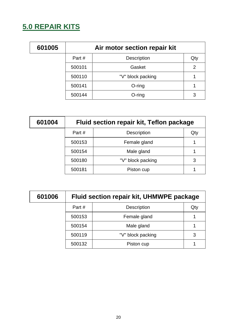## <span id="page-19-0"></span>**5.0 REPAIR KITS**

| 601005 | Air motor section repair kit |                    |                |
|--------|------------------------------|--------------------|----------------|
|        | Part #                       | <b>Description</b> | Qty            |
|        | 500101                       | Gasket             | $\overline{2}$ |
|        | 500110                       | "V" block packing  | 1              |
|        | 500141                       | $O$ -ring          |                |
|        | 500144                       | $O$ -ring          | 3              |

| 601004 | Fluid section repair kit, Teflon package |                    |     |
|--------|------------------------------------------|--------------------|-----|
|        | Part#                                    | <b>Description</b> | Qty |
|        | 500153                                   | Female gland       | 1   |
|        | 500154                                   | Male gland         |     |
|        | 500180                                   | "V" block packing  | 3   |
|        | 500181                                   | Piston cup         |     |

| 601006 | Fluid section repair kit, UHMWPE package |                    |     |
|--------|------------------------------------------|--------------------|-----|
|        | Part#                                    | <b>Description</b> | Qty |
|        | 500153                                   | Female gland       |     |
|        | 500154                                   | Male gland         | 1   |
|        | 500119                                   | "V" block packing  | 3   |
|        | 500132                                   | Piston cup         |     |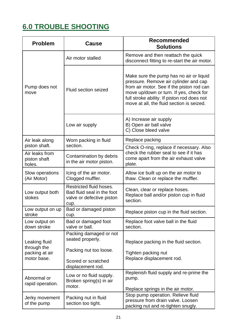## <span id="page-20-0"></span>**6.0 TROUBLE SHOOTING**

| <b>Problem</b>                                                                | Cause                                                                                      | <b>Recommended</b><br><b>Solutions</b>                                                                                                                                                                                                                               |  |
|-------------------------------------------------------------------------------|--------------------------------------------------------------------------------------------|----------------------------------------------------------------------------------------------------------------------------------------------------------------------------------------------------------------------------------------------------------------------|--|
|                                                                               | Air motor stalled                                                                          | Remove and then reattach the quick<br>disconnect fitting to re-start the air motor.                                                                                                                                                                                  |  |
| Pump does not<br>move                                                         | Fluid section seized                                                                       | Make sure the pump has no air or liquid<br>pressure. Remove air cylinder and cap<br>from air motor. See if the piston rod can<br>move up/down or turn. If yes, check for<br>full stroke ability. If piston rod does not<br>move at all, the fluid section is seized. |  |
|                                                                               | Low air supply                                                                             | A) Increase air supply<br>B) Open air ball valve<br>C) Close bleed valve                                                                                                                                                                                             |  |
| Air leak along                                                                | Worn packing in fluid                                                                      | Replace packing                                                                                                                                                                                                                                                      |  |
| piston shaft.<br>section.                                                     |                                                                                            | Check O-ring, replace if necessary. Also                                                                                                                                                                                                                             |  |
| Air leaks from<br>piston shaft<br>holes.                                      | Contamination by debris<br>in the air motor piston.                                        | check the rubber seal to see if it has<br>come apart from the air exhaust valve<br>plate.                                                                                                                                                                            |  |
| Slow operations<br>Icing of the air motor.<br>(Air Motor)<br>Clogged muffler. |                                                                                            | Allow ice built up on the air motor to<br>thaw. Clean or replace the muffler.                                                                                                                                                                                        |  |
| Low output both<br>stokes                                                     | Restricted fluid hoses.<br>Bad fluid seal in the foot<br>valve or defective piston<br>cup. | Clean, clear or replace hoses.<br>Replace ball and/or piston cup in fluid<br>section.                                                                                                                                                                                |  |
| Bad or damaged piston<br>Low output on up<br>stroke<br>cup.                   |                                                                                            | Replace piston cup in the fluid section.                                                                                                                                                                                                                             |  |
| Low output on<br>down stroke                                                  | Bad or damaged foot<br>valve or ball.                                                      | Replace foot valve ball in the fluid<br>section.                                                                                                                                                                                                                     |  |
| Leaking fluid<br>through the                                                  | Packing damaged or not<br>seated properly.                                                 | Replace packing in the fluid section.                                                                                                                                                                                                                                |  |
| packing at air                                                                | Packing nut too loose.                                                                     | Tighten packing nut<br>Replace displacement rod.                                                                                                                                                                                                                     |  |
| motor base.                                                                   | Scored or scratched<br>displacement rod.                                                   |                                                                                                                                                                                                                                                                      |  |
| Abnormal or<br>rapid operation.                                               | Low or no fluid supply.<br>Broken spring(s) in air<br>motor.                               | Replenish fluid supply and re-prime the<br>pump.<br>Replace springs in the air motor.                                                                                                                                                                                |  |
| Packing nut in fluid<br>Jerky movement<br>of the pump<br>section too tight.   |                                                                                            | Stop pump operation. Relieve fluid<br>pressure from drain valve. Loosen<br>packing nut and re-tighten snugly.                                                                                                                                                        |  |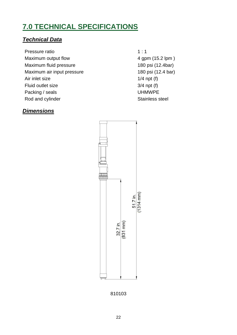## <span id="page-21-0"></span>**7.0 TECHNICAL SPECIFICATIONS**

#### *Technical Data*

- Pressure ratio 1:1 Maximum output flow 4 gpm (15.2 lpm) Maximum fluid pressure 180 psi (12.4bar) Maximum air input pressure 180 psi (12.4 bar) Air inlet size 1/4 npt (f) Fluid outlet size 3/4 npt (f) Packing / seals UHMWPE Rod and cylinder Stainless steel
	-

#### *Dimensions*



810103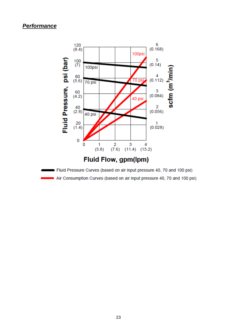#### *Performance*



Air Consumption Curves (based on air input pressure 40, 70 and 100 psi)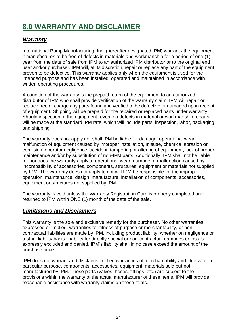## <span id="page-23-0"></span>**8.0 WARRANTY AND DISCLAIMER**

#### *Warranty*

International Pump Manufacturing, Inc. (hereafter designated IPM) warrants the equipment it manufactures to be free of defects in materials and workmanship for a period of one (1) year from the date of sale from IPM to an authorized IPM distributor or to the original end user and/or purchaser. IPM will, at its discretion, repair or replace any part of the equipment proven to be defective. This warranty applies only when the equipment is used for the intended purpose and has been installed, operated and maintained in accordance with written operating procedures.

A condition of the warranty is the prepaid return of the equipment to an authorized distributor of IPM who shall provide verification of the warranty claim. IPM will repair or replace free of charge any parts found and verified to be defective or damaged upon receipt of equipment. Shipping will be prepaid for the repaired or replaced parts under warranty. Should inspection of the equipment reveal no defects in material or workmanship repairs will be made at the standard IPM rate, which will include parts, inspection, labor, packaging and shipping.

The warranty does not apply nor shall IPM be liable for damage, operational wear, malfunction of equipment caused by improper installation, misuse, chemical abrasion or corrosion, operator negligence, accident, tampering or altering of equipment, lack of proper maintenance and/or by substitution of non-IPM parts. Additionally, IPM shall not be liable for nor does the warranty apply to operational wear, damage or malfunction caused by incompatibility of accessories, components, structures, equipment or materials not supplied by IPM. The warranty does not apply to nor will IPM be responsible for the improper operation, maintenance, design, manufacture, installation of components, accessories, equipment or structures not supplied by IPM.

The warranty is void unless the Warranty Registration Card is properly completed and returned to IPM within ONE (1) month of the date of the sale.

#### *Limitations and Disclaimers*

This warranty is the sole and exclusive remedy for the purchaser. No other warranties, expressed or implied, warranties for fitness of purpose or merchantability, or noncontractual liabilities are made by IPM, including product liability, whether on negligence or a strict liability basis. Liability for directly special or non-contractual damages or loss is expressly excluded and denied. IPM's liability shall in no case exceed the amount of the purchase price.

IPM does not warrant and disclaims implied warranties of merchantability and fitness for a particular purpose, components, accessories, equipment, materials sold but not manufactured by IPM. These parts (valves, hoses, fittings, etc.) are subject to the provisions within the warranty of the actual manufacturer of these items. IPM will provide reasonable assistance with warranty claims on these items.